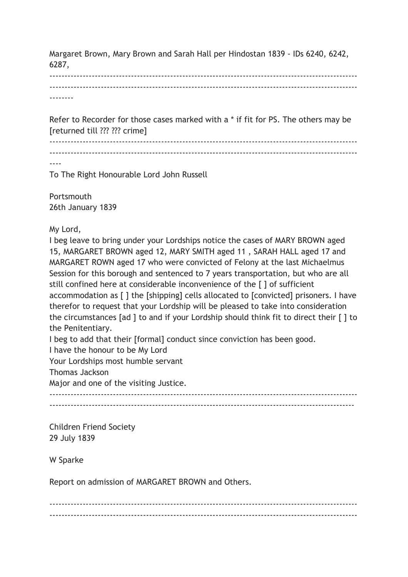Margaret Brown, Mary Brown and Sarah Hall per Hindostan 1839 - IDs 6240, 6242, 6287,

------------------------------------------------------------------------------------------------------ ------------------------------------------------------------------------------------------------------ --------

Refer to Recorder for those cases marked with a \* if fit for PS. The others may be [returned till ??? ??? crime]

------------------------------------------------------------------------------------------------------

------------------------------------------------------------------------------------------------------

----

To The Right Honourable Lord John Russell

Portsmouth 26th January 1839

My Lord,

I beg leave to bring under your Lordships notice the cases of MARY BROWN aged 15, MARGARET BROWN aged 12, MARY SMITH aged 11 , SARAH HALL aged 17 and MARGARET ROWN aged 17 who were convicted of Felony at the last Michaelmus Session for this borough and sentenced to 7 years transportation, but who are all still confined here at considerable inconvenience of the [ ] of sufficient accommodation as [ ] the [shipping] cells allocated to [convicted] prisoners. I have therefor to request that your Lordship will be pleased to take into consideration the circumstances [ad ] to and if your Lordship should think fit to direct their [ ] to the Penitentiary.

I beg to add that their [formal] conduct since conviction has been good.

I have the honour to be My Lord

Your Lordships most humble servant

Thomas Jackson

Major and one of the visiting Justice.

------------------------------------------------------------------------------------------------------ -----------------------------------------------------------------------------------------------------

Children Friend Society 29 July 1839

W Sparke

Report on admission of MARGARET BROWN and Others.

------------------------------------------------------------------------------------------------------ ------------------------------------------------------------------------------------------------------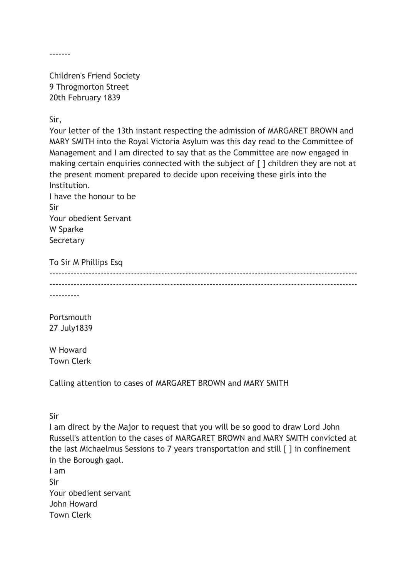-------

Children's Friend Society 9 Throgmorton Street 20th February 1839

Sir,

Your letter of the 13th instant respecting the admission of MARGARET BROWN and MARY SMITH into the Royal Victoria Asylum was this day read to the Committee of Management and I am directed to say that as the Committee are now engaged in making certain enquiries connected with the subject of [ ] children they are not at the present moment prepared to decide upon receiving these girls into the Institution.

I have the honour to be Sir Your obedient Servant W Sparke **Secretary** 

To Sir M Phillips Esq ------------------------------------------------------------------------------------------------------

 $-$ 

----------

Portsmouth 27 July1839

W Howard Town Clerk

Calling attention to cases of MARGARET BROWN and MARY SMITH

Sir

I am direct by the Major to request that you will be so good to draw Lord John Russell's attention to the cases of MARGARET BROWN and MARY SMITH convicted at the last Michaelmus Sessions to 7 years transportation and still [ ] in confinement in the Borough gaol.

I am Sir Your obedient servant John Howard Town Clerk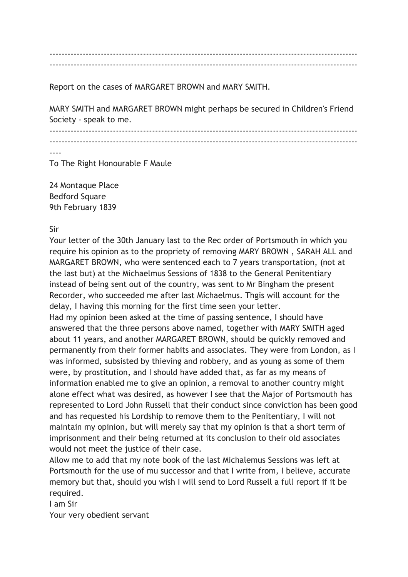------------------------------------------------------------------------------------------------------ ------------------------------------------------------------------------------------------------------

Report on the cases of MARGARET BROWN and MARY SMITH.

MARY SMITH and MARGARET BROWN might perhaps be secured in Children's Friend Society - speak to me.

------------------------------------------------------------------------------------------------------ ------------------------------------------------------------------------------------------------------

----

To The Right Honourable F Maule

24 Montaque Place Bedford Square 9th February 1839

Sir

Your letter of the 30th January last to the Rec order of Portsmouth in which you require his opinion as to the propriety of removing MARY BROWN , SARAH ALL and MARGARET BROWN, who were sentenced each to 7 years transportation, (not at the last but) at the Michaelmus Sessions of 1838 to the General Penitentiary instead of being sent out of the country, was sent to Mr Bingham the present Recorder, who succeeded me after last Michaelmus. Thgis will account for the delay, I having this morning for the first time seen your letter.

Had my opinion been asked at the time of passing sentence, I should have answered that the three persons above named, together with MARY SMITH aged about 11 years, and another MARGARET BROWN, should be quickly removed and permanently from their former habits and associates. They were from London, as I was informed, subsisted by thieving and robbery, and as young as some of them were, by prostitution, and I should have added that, as far as my means of information enabled me to give an opinion, a removal to another country might alone effect what was desired, as however I see that the Major of Portsmouth has represented to Lord John Russell that their conduct since conviction has been good and has requested his Lordship to remove them to the Penitentiary, I will not maintain my opinion, but will merely say that my opinion is that a short term of imprisonment and their being returned at its conclusion to their old associates would not meet the justice of their case.

Allow me to add that my note book of the last Michalemus Sessions was left at Portsmouth for the use of mu successor and that I write from, I believe, accurate memory but that, should you wish I will send to Lord Russell a full report if it be required.

I am Sir

Your very obedient servant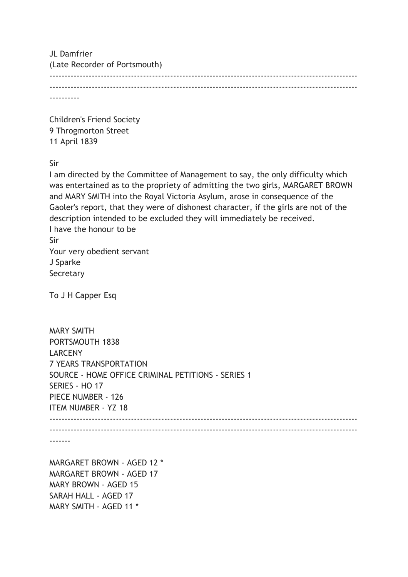| JL Damfrier<br>(Late Recorder of Portsmouth) |  |
|----------------------------------------------|--|
|                                              |  |
|                                              |  |

Children's Friend Society 9 Throgmorton Street 11 April 1839

Sir

I am directed by the Committee of Management to say, the only difficulty which was entertained as to the propriety of admitting the two girls, MARGARET BROWN and MARY SMITH into the Royal Victoria Asylum, arose in consequence of the Gaoler's report, that they were of dishonest character, if the girls are not of the description intended to be excluded they will immediately be received. I have the honour to be Sir Your very obedient servant J Sparke Secretary

To J H Capper Esq

MARY SMITH - AGED 11 \*

| <b>MARY SMITH</b>                                  |  |
|----------------------------------------------------|--|
| PORTSMOUTH 1838                                    |  |
| <b>LARCENY</b>                                     |  |
| <b>7 YEARS TRANSPORTATION</b>                      |  |
| SOURCE - HOME OFFICE CRIMINAL PETITIONS - SERIES 1 |  |
| SERIES - HO 17                                     |  |
| PIECE NUMBER - 126                                 |  |
| <b>ITEM NUMBER - YZ 18</b>                         |  |
|                                                    |  |
|                                                    |  |
|                                                    |  |
|                                                    |  |
| MARGARET BROWN - AGED 12 *                         |  |
| <b>MARGARET BROWN - AGED 17</b>                    |  |
| <b>MARY BROWN - AGED 15</b>                        |  |
| SARAH HALL - AGED 17                               |  |